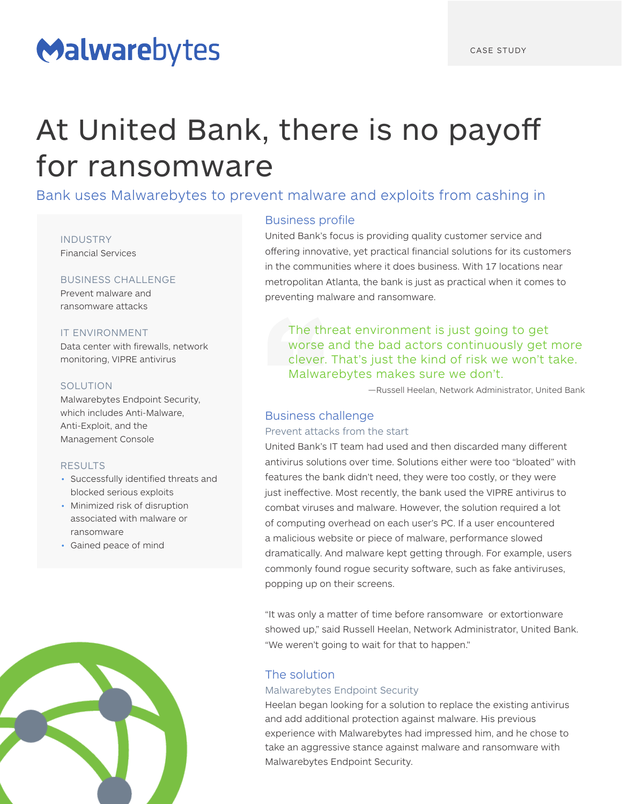# Malwarebytes

# At United Bank, there is no payoff for ransomware

Bank uses Malwarebytes to prevent malware and exploits from cashing in

INDUSTRY Financial Services

# BUSINESS CHALLENGE

Prevent malware and ransomware attacks

# IT ENVIRONMENT

Data center with firewalls, network monitoring, VIPRE antivirus

# SOLUTION

Malwarebytes Endpoint Security, which includes Anti-Malware, Anti-Exploit, and the Management Console

### RESULTS

- Successfully identified threats and blocked serious exploits
- Minimized risk of disruption associated with malware or ransomware
- Gained peace of mind



# Business profile

United Bank's focus is providing quality customer service and offering innovative, yet practical financial solutions for its customers in the communities where it does business. With 17 locations near metropolitan Atlanta, the bank is just as practical when it comes to preventing malware and ransomware.

The threat environment is just going to get worse and the bad actors continuously get more clever. That's just the kind of risk we won't take. Malwarebytes makes sure we don't.

—Russell Heelan, Network Administrator, United Bank

# Business challenge

# Prevent attacks from the start

United Bank's IT team had used and then discarded many different antivirus solutions over time. Solutions either were too "bloated" with features the bank didn't need, they were too costly, or they were just ineffective. Most recently, the bank used the VIPRE antivirus to combat viruses and malware. However, the solution required a lot of computing overhead on each user's PC. If a user encountered a malicious website or piece of malware, performance slowed dramatically. And malware kept getting through. For example, users commonly found rogue security software, such as fake antiviruses, popping up on their screens.

"It was only a matter of time before ransomware or extortionware showed up," said Russell Heelan, Network Administrator, United Bank. "We weren't going to wait for that to happen."

# The solution

### Malwarebytes Endpoint Security

Heelan began looking for a solution to replace the existing antivirus and add additional protection against malware. His previous experience with Malwarebytes had impressed him, and he chose to take an aggressive stance against malware and ransomware with Malwarebytes Endpoint Security.